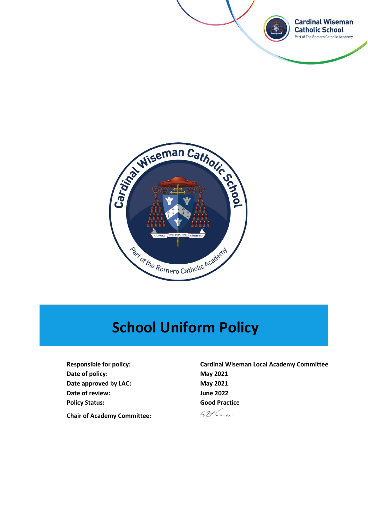



# **School Uniform Policy**

**Date of policy:** May 2021 Date approved by LAC: May 2021 **Date of review: June 2022 Policy Status: Good Practice Chair of Academy Committee:**

**Responsible for policy: Cardinal Wiseman Local Academy Committee**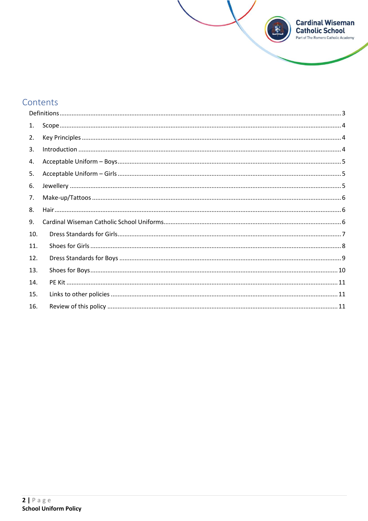

# Contents

| 1.  |  |
|-----|--|
| 2.  |  |
| 3.  |  |
| 4.  |  |
| 5.  |  |
| 6.  |  |
| 7.  |  |
| 8.  |  |
| 9.  |  |
| 10. |  |
| 11. |  |
| 12. |  |
| 13. |  |
| 14. |  |
| 15. |  |
| 16. |  |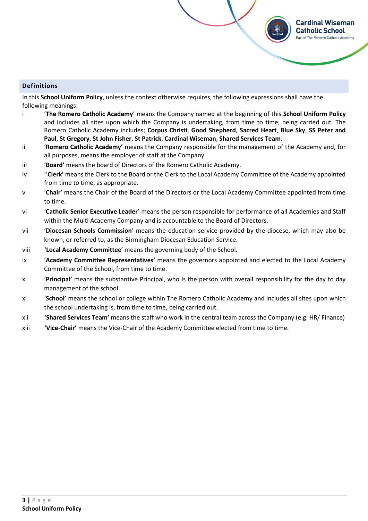# <span id="page-2-0"></span>**Definitions**

In this **School Uniform Policy**, unless the context otherwise requires, the following expressions shall have the following meanings:

i '**The Romero Catholic Academy**' means the Company named at the beginning of this **School Uniform Policy** and includes all sites upon which the Company is undertaking, from time to time, being carried out. The Romero Catholic Academy includes; **Corpus Christi**, **Good Shepherd**, **Sacred Heart**, **Blue Sky**, **SS Peter and Paul**, **St Gregory**, **St John Fisher**, **St Patrick**, **Cardinal Wiseman**, **Shared Services Team**.

**Cardinal Wiseman Catholic School** irt of The Romero Catholic Academy

- ii '**Romero Catholic Academy'** means the Company responsible for the management of the Academy and, for all purposes, means the employer of staff at the Company.
- iii '**Board'** means the board of Directors of the Romero Catholic Academy.
- iv ''**Clerk'** means the Clerk to the Board or the Clerk to the Local Academy Committee of the Academy appointed from time to time, as appropriate.
- v '**Chair'** means the Chair of the Board of the Directors or the Local Academy Committee appointed from time to time.
- vi '**Catholic Senior Executive Leader**' means the person responsible for performance of all Academies and Staff within the Multi Academy Company and is accountable to the Board of Directors.
- vii '**Diocesan Schools Commission**' means the education service provided by the diocese, which may also be known, or referred to, as the Birmingham Diocesan Education Service.
- viii '**Local Academy Committee**' means the governing body of the School.
- ix '**Academy Committee Representatives'** means the governors appointed and elected to the Local Academy Committee of the School, from time to time.
- x '**Principal'** means the substantive Principal, who is the person with overall responsibility for the day to day management of the school.
- xi '**School'** means the school or college within The Romero Catholic Academy and includes all sites upon which the school undertaking is, from time to time, being carried out.
- xii '**Shared Services Team'** means the staff who work in the central team across the Company (e.g. HR/ Finance)
- xiii '**Vice**-**Chair'** means the Vice-Chair of the Academy Committee elected from time to time.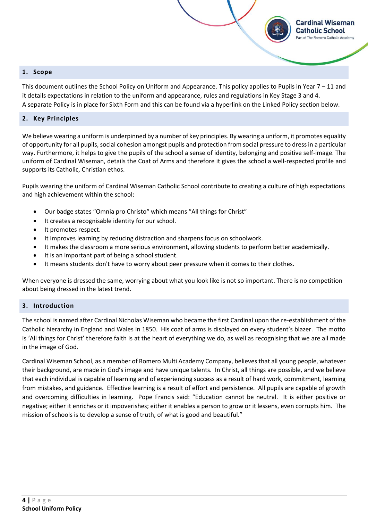#### <span id="page-3-0"></span>**1. Scope**

This document outlines the School Policy on Uniform and Appearance. This policy applies to Pupils in Year  $7 - 11$  and it details expectations in relation to the uniform and appearance, rules and regulations in Key Stage 3 and 4. A separate Policy is in place for Sixth Form and this can be found via a hyperlink on the Linked Policy section below.

**Cardinal Wiseman Catholic School** Part of The Romero Catholic Academy

#### <span id="page-3-1"></span>**2. Key Principles**

We believe wearing a uniform is underpinned by a number of key principles. By wearing a uniform, it promotes equality of opportunity for all pupils, social cohesion amongst pupils and protection from social pressure to dress in a particular way. Furthermore, it helps to give the pupils of the school a sense of identity, belonging and positive self-image. The uniform of Cardinal Wiseman, details the Coat of Arms and therefore it gives the school a well-respected profile and supports its Catholic, Christian ethos.

Pupils wearing the uniform of Cardinal Wiseman Catholic School contribute to creating a culture of high expectations and high achievement within the school:

- Our badge states "Omnia pro Christo" which means "All things for Christ"
- It creates a recognisable identity for our school.
- It promotes respect.
- It improves learning by reducing distraction and sharpens focus on schoolwork.
- It makes the classroom a more serious environment, allowing students to perform better academically.
- It is an important part of being a school student.
- It means students don't have to worry about peer pressure when it comes to their clothes.

When everyone is dressed the same, worrying about what you look like is not so important. There is no competition about being dressed in the latest trend.

#### <span id="page-3-2"></span>**3. Introduction**

The school is named after Cardinal Nicholas Wiseman who became the first Cardinal upon the re-establishment of the Catholic hierarchy in England and Wales in 1850. His coat of arms is displayed on every student's blazer. The motto is 'All things for Christ' therefore faith is at the heart of everything we do, as well as recognising that we are all made in the image of God.

Cardinal Wiseman School, as a member of Romero Multi Academy Company, believes that all young people, whatever their background, are made in God's image and have unique talents. In Christ, all things are possible, and we believe that each individual is capable of learning and of experiencing success as a result of hard work, commitment, learning from mistakes, and guidance. Effective learning is a result of effort and persistence. All pupils are capable of growth and overcoming difficulties in learning. Pope Francis said: "Education cannot be neutral. It is either positive or negative; either it enriches or it impoverishes; either it enables a person to grow or it lessens, even corrupts him. The mission of schools is to develop a sense of truth, of what is good and beautiful."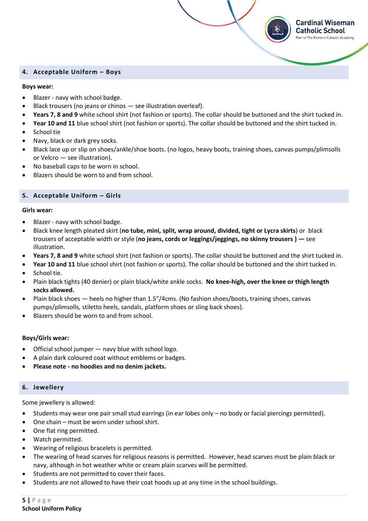#### <span id="page-4-0"></span>**4. Acceptable Uniform – Boys**

#### **Boys wear:**

- Blazer navy with school badge.
- Black trousers (no jeans or chinos see illustration overleaf).
- **Years 7, 8 and 9** white school shirt (not fashion or sports). The collar should be buttoned and the shirt tucked in.

**Cardinal Wiseman Catholic School** Part of The Romero Catholic Academy

- **Year 10 and 11** blue school shirt (not fashion or sports). The collar should be buttoned and the shirt tucked in.
- School tie
- Navy, black or dark grey socks.
- Black lace up or slip on shoes/ankle/shoe boots. (no logos, heavy boots, training shoes, canvas pumps/plimsolls or Velcro — see illustration).
- No baseball caps to be worn in school.
- Blazers should be worn to and from school.

# <span id="page-4-1"></span>**5. Acceptable Uniform – Girls**

#### **Girls wear:**

- Blazer navy with school badge.
- Black knee length pleated skirt (**no tube, mini, split, wrap around, divided, tight or Lycra skirts**) or black trousers of acceptable width or style (**no jeans, cords or leggings/jeggings, no skinny trousers ) —** see illustration.
- **Years 7, 8 and 9** white school shirt (not fashion or sports). The collar should be buttoned and the shirt tucked in.
- **Year 10 and 11** blue school shirt (not fashion or sports). The collar should be buttoned and the shirt tucked in.
- School tie.
- Plain black tights (40 denier) or plain black/white ankle socks. **No knee-high, over the knee or thigh length socks allowed.**
- Plain black shoes heels no higher than 1.5"/4cms. (No fashion shoes/boots, training shoes, canvas pumps/plimsolls, stiletto heels, sandals, platform shoes or sling back shoes).
- Blazers should be worn to and from school.

# **Boys/Girls wear:**

- Official school jumper navy blue with school logo.
- A plain dark coloured coat without emblems or badges.
- **Please note - no hoodies and no denim jackets.**

# <span id="page-4-2"></span>**6. Jewellery**

Some jewellery is allowed:

- Students may wear one pair small stud earrings (in ear lobes only no body or facial piercings permitted).
- One chain must be worn under school shirt.
- One flat ring permitted.
- Watch permitted.
- Wearing of religious bracelets is permitted.
- The wearing of head scarves for religious reasons is permitted. However, head scarves must be plain black or navy, although in hot weather white or cream plain scarves will be permitted.
- Students are not permitted to cover their faces.
- Students are not allowed to have their coat hoods up at any time in the school buildings.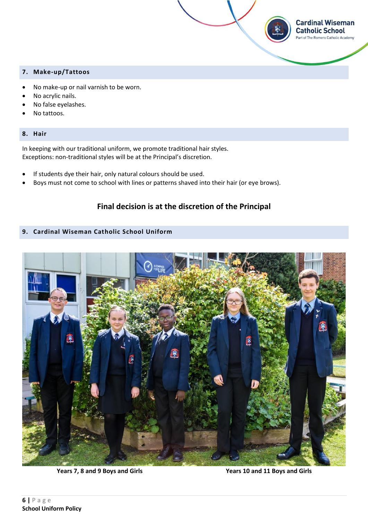# <span id="page-5-0"></span>**7. Make-up/Tattoos**

- No make-up or nail varnish to be worn.
- No acrylic nails.
- No false eyelashes.
- No tattoos.

#### <span id="page-5-1"></span>**8. Hair**

In keeping with our traditional uniform, we promote traditional hair styles. Exceptions: non-traditional styles will be at the Principal's discretion.

- If students dye their hair, only natural colours should be used.
- Boys must not come to school with lines or patterns shaved into their hair (or eye brows).

# **Final decision is at the discretion of the Principal**

# <span id="page-5-2"></span>**9. Cardinal Wiseman Catholic School Uniform**



 **Years 7, 8 and 9 Boys and Girls Years 10 and 11 Boys and Girls** 

**Cardinal Wiseman Catholic School** Part of The Romero Catholic Academy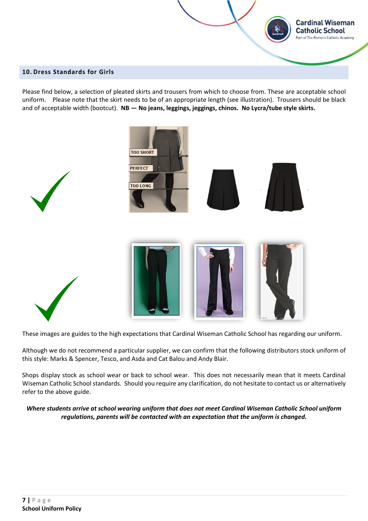#### <span id="page-6-0"></span>**10. Dress Standards for Girls**

Please find below, a selection of pleated skirts and trousers from which to choose from. These are acceptable school uniform.Please note that the skirt needs to be of an appropriate length (see illustration). Trousers should be black and of acceptable width (bootcut). **NB — No jeans, leggings, jeggings, chinos. No Lycra/tube style skirts.**

**Cardinal Wiseman Catholic School** Part of The Romero Catholic Academy



These images are guides to the high expectations that Cardinal Wiseman Catholic School has regarding our uniform.

Although we do not recommend a particular supplier, we can confirm that the following distributors stock uniform of this style: Marks & Spencer, Tesco, and Asda and Cat Balou and Andy Blair.

Shops display stock as school wear or back to school wear. This does not necessarily mean that it meets Cardinal Wiseman Catholic School standards. Should you require any clarification, do not hesitate to contact us or alternatively refer to the above guide.

*Where students arrive at school wearing uniform that does not meet Cardinal Wiseman Catholic School uniform regulations, parents will be contacted with an expectation that the uniform is changed.*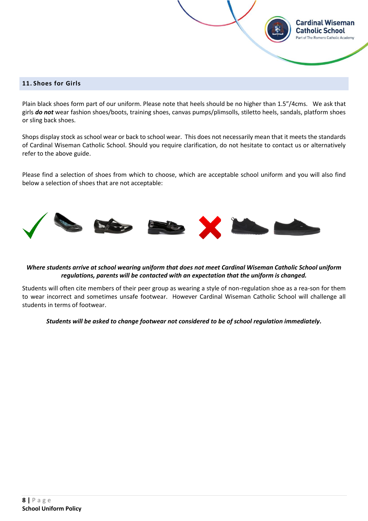#### <span id="page-7-0"></span>**11. Shoes for Girls**

Plain black shoes form part of our uniform. Please note that heels should be no higher than 1.5"/4cms. We ask that girls *do not* wear fashion shoes/boots, training shoes, canvas pumps/plimsolls, stiletto heels, sandals, platform shoes or sling back shoes.

**Cardinal Wiseman Catholic School** rt of The Romero Catholic Academy

Shops display stock as school wear or back to school wear. This does not necessarily mean that it meets the standards of Cardinal Wiseman Catholic School. Should you require clarification, do not hesitate to contact us or alternatively refer to the above guide.

Please find a selection of shoes from which to choose, which are acceptable school uniform and you will also find below a selection of shoes that are not acceptable:



# *Where students arrive at school wearing uniform that does not meet Cardinal Wiseman Catholic School uniform regulations, parents will be contacted with an expectation that the uniform is changed.*

Students will often cite members of their peer group as wearing a style of non-regulation shoe as a rea-son for them to wear incorrect and sometimes unsafe footwear. However Cardinal Wiseman Catholic School will challenge all students in terms of footwear.

*Students will be asked to change footwear not considered to be of school regulation immediately.*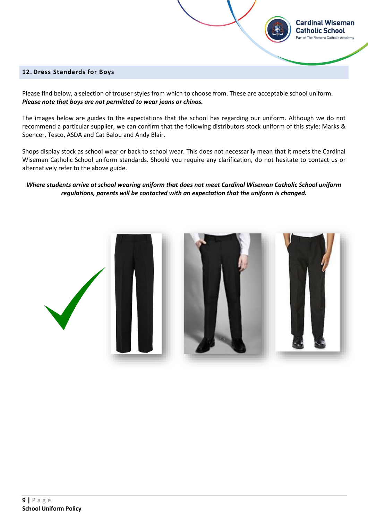#### <span id="page-8-0"></span>**12. Dress Standards for Boys**

Please find below, a selection of trouser styles from which to choose from. These are acceptable school uniform. *Please note that boys are not permitted to wear jeans or chinos.* 

The images below are guides to the expectations that the school has regarding our uniform. Although we do not recommend a particular supplier, we can confirm that the following distributors stock uniform of this style: Marks & Spencer, Tesco, ASDA and Cat Balou and Andy Blair.

**Cardinal Wiseman Catholic School** Part of The Romero Catholic Academy

Shops display stock as school wear or back to school wear. This does not necessarily mean that it meets the Cardinal Wiseman Catholic School uniform standards. Should you require any clarification, do not hesitate to contact us or alternatively refer to the above guide.

# *Where students arrive at school wearing uniform that does not meet Cardinal Wiseman Catholic School uniform regulations, parents will be contacted with an expectation that the uniform is changed.*

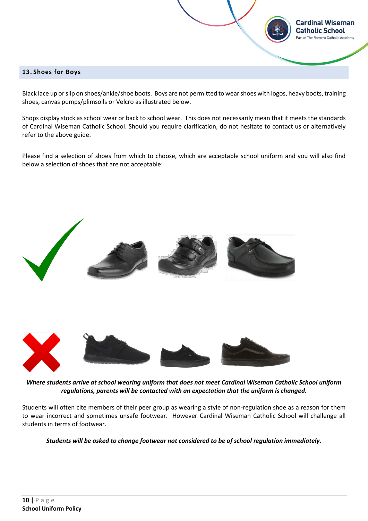#### <span id="page-9-0"></span>**13. Shoes for Boys**

Black lace up or slip on shoes/ankle/shoe boots. Boys are not permitted to wear shoes with logos, heavy boots, training shoes, canvas pumps/plimsolls or Velcro as illustrated below.

**Cardinal Wiseman Catholic School** irt of The Romero Catholic Academy

Shops display stock as school wear or back to school wear. This does not necessarily mean that it meets the standards of Cardinal Wiseman Catholic School. Should you require clarification, do not hesitate to contact us or alternatively refer to the above guide.

Please find a selection of shoes from which to choose, which are acceptable school uniform and you will also find below a selection of shoes that are not acceptable:



*Where students arrive at school wearing uniform that does not meet Cardinal Wiseman Catholic School uniform regulations, parents will be contacted with an expectation that the uniform is changed.*

Students will often cite members of their peer group as wearing a style of non-regulation shoe as a reason for them to wear incorrect and sometimes unsafe footwear. However Cardinal Wiseman Catholic School will challenge all students in terms of footwear.

*Students will be asked to change footwear not considered to be of school regulation immediately.*